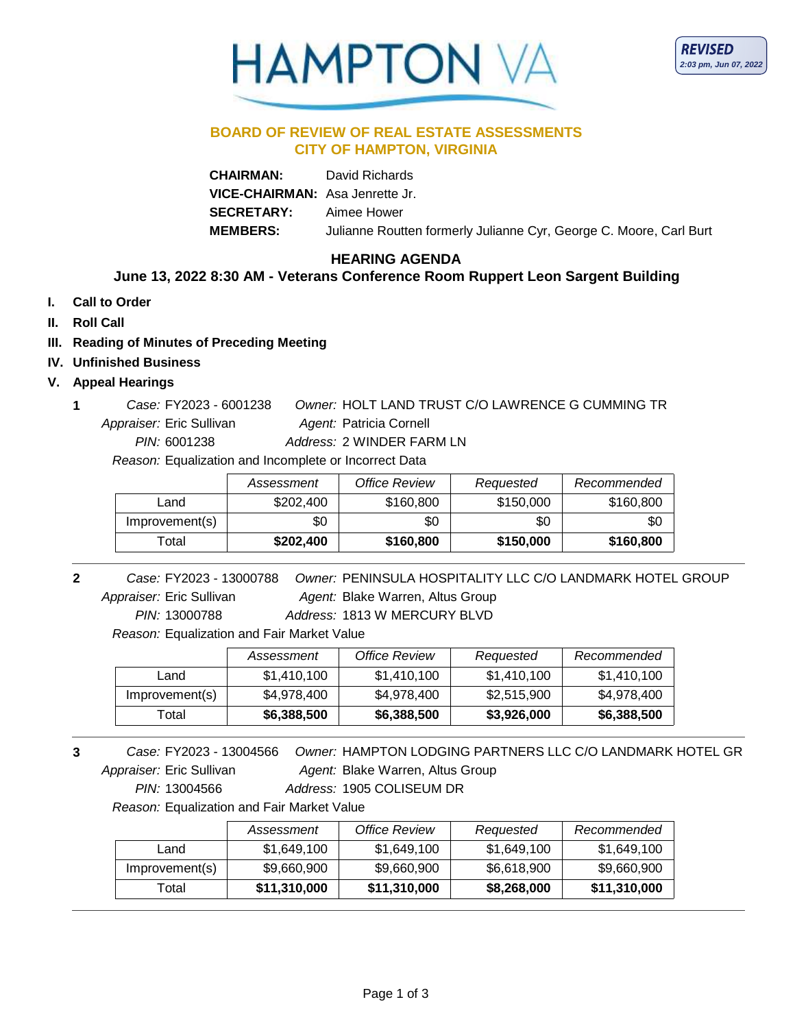# **HAMPTON**

#### **BOARD OF REVIEW OF REAL ESTATE ASSESSMENTS CITY OF HAMPTON, VIRGINIA**

| <b>CHAIRMAN:</b>                | David Richards                                                     |
|---------------------------------|--------------------------------------------------------------------|
| VICE-CHAIRMAN: Asa Jenrette Jr. |                                                                    |
| <b>SECRETARY:</b>               | Aimee Hower                                                        |
| <b>MEMBERS:</b>                 | Julianne Routten formerly Julianne Cyr, George C. Moore, Carl Burt |

## **HEARING AGENDA**

## **June 13, 2022 8:30 AM - Veterans Conference Room Ruppert Leon Sargent Building**

- **I. Call to Order**
- **II. Roll Call**
- **III. Reading of Minutes of Preceding Meeting**
- **IV. Unfinished Business**
- **V. Appeal Hearings**
	- Agent: Patricia Cornell **1** *Owner:* HOLT LAND TRUST C/O LAWRENCE G CUMMING TR *PIN:* 6001238 FY2023 - 6001238 *Case:* Appraiser: Eric Sullivan *Address:* 2 WINDER FARM LN

*Reason:* Equalization and Incomplete or Incorrect Data

|                | Assessment | <b>Office Review</b> | Requested | Recommended |
|----------------|------------|----------------------|-----------|-------------|
| Land           | \$202.400  | \$160,800            | \$150,000 | \$160,800   |
| Improvement(s) | \$0        | \$0                  | \$0       | \$0         |
| ⊺otal          | \$202,400  | \$160,800            | \$150,000 | \$160,800   |

Agent: Blake Warren, Altus Group **2** *Case:* FY2023 - 13000788 *Owner:* PENINSULA HOSPITALITY LLC C/O LANDMARK HOTEL GROUP *PIN:* 13000788 FY2023 - 13000788 *Case:* Appraiser: Eric Sullivan *Address:* 1813 W MERCURY BLVD

*Reason:* Equalization and Fair Market Value

|                | Assessment  | Office Review | Requested   | Recommended |
|----------------|-------------|---------------|-------------|-------------|
| Land           | \$1,410,100 | \$1,410,100   | \$1,410,100 | \$1,410,100 |
| Improvement(s) | \$4,978,400 | \$4,978,400   | \$2,515,900 | \$4,978,400 |
| Total          | \$6,388,500 | \$6,388,500   | \$3,926,000 | \$6,388,500 |

Agent: Blake Warren, Altus Group **3** *Case:* FY2023 - 13004566 *Owner:* HAMPTON LODGING PARTNERS LLC C/O LANDMARK HOTEL GR *PIN:* 13004566 FY2023 - 13004566 *Case:* Appraiser: Eric Sullivan *Address:* 1905 COLISEUM DR

*Reason:* Equalization and Fair Market Value

|                | Assessment   | <b>Office Review</b> | Requested   | Recommended  |
|----------------|--------------|----------------------|-------------|--------------|
| Land           | \$1,649,100  | \$1,649,100          | \$1,649,100 | \$1,649,100  |
| Improvement(s) | \$9,660,900  | \$9,660,900          | \$6,618,900 | \$9,660,900  |
| Total          | \$11,310,000 | \$11,310,000         | \$8,268,000 | \$11,310,000 |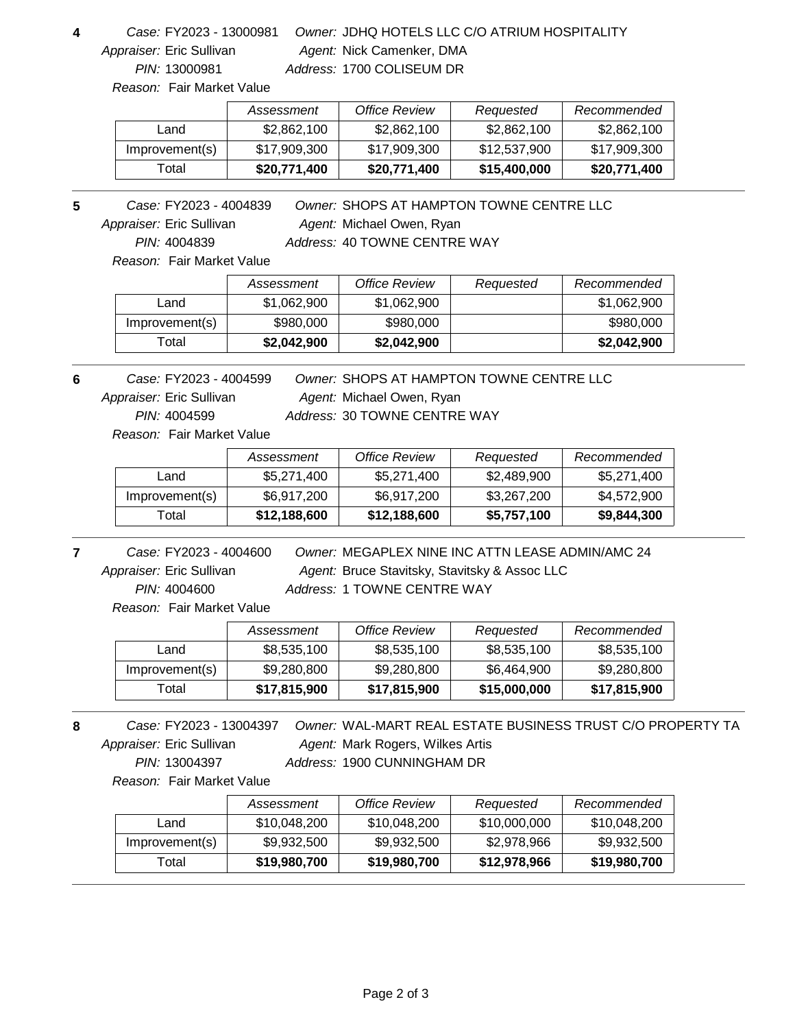*PIN:* 13000981 Appraiser: Eric Sullivan

#### Agent: Nick Camenker, DMA **4** *Owner:* JDHQ HOTELS LLC C/O ATRIUM HOSPITALITY FY2023 - 13000981 *Case: Address:* 1700 COLISEUM DR

*Reason:* Fair Market Value

|                | Assessment   | Office Review | Requested    | Recommended  |
|----------------|--------------|---------------|--------------|--------------|
| Land           | \$2,862,100  | \$2,862,100   | \$2,862,100  | \$2,862,100  |
| Improvement(s) | \$17,909,300 | \$17,909,300  | \$12,537,900 | \$17,909,300 |
| Total          | \$20,771,400 | \$20,771,400  | \$15,400,000 | \$20,771,400 |

Agent: Michael Owen, Ryan **5** *Owner:* SHOPS AT HAMPTON TOWNE CENTRE LLC *PIN:* 4004839 FY2023 - 4004839 *Case:* Appraiser: Eric Sullivan

*Address:* 40 TOWNE CENTRE WAY

*Reason:* Fair Market Value

|                | Assessment  | Office Review | Requested | Recommended |
|----------------|-------------|---------------|-----------|-------------|
| Land           | \$1,062,900 | \$1,062,900   |           | \$1,062,900 |
| Improvement(s) | \$980,000   | \$980,000     |           | \$980,000   |
| Total          | \$2,042,900 | \$2,042,900   |           | \$2,042,900 |

Agent: Michael Owen, Ryan **6** *Owner:* SHOPS AT HAMPTON TOWNE CENTRE LLC *PIN:* 4004599 FY2023 - 4004599 *Case:* Appraiser: Eric Sullivan *Address:* 30 TOWNE CENTRE WAY

*Reason:* Fair Market Value

|                | Assessment   | Office Review | Requested   | Recommended |
|----------------|--------------|---------------|-------------|-------------|
| Land           | \$5,271,400  | \$5,271,400   | \$2,489,900 | \$5,271,400 |
| Improvement(s) | \$6,917,200  | \$6,917,200   | \$3,267,200 | \$4,572,900 |
| Total          | \$12,188,600 | \$12,188,600  | \$5,757,100 | \$9,844,300 |

*PIN:* 4004600 FY2023 - 4004600 *Case:* Appraiser: Eric Sullivan

Agent: Bruce Stavitsky, Stavitsky & Assoc LLC **7** *Owner:* MEGAPLEX NINE INC ATTN LEASE ADMIN/AMC 24 *Address:* 1 TOWNE CENTRE WAY

*Reason:* Fair Market Value

|                | Assessment   | <b>Office Review</b> | Requested    | Recommended  |
|----------------|--------------|----------------------|--------------|--------------|
| Land           | \$8,535,100  | \$8,535,100          | \$8,535,100  | \$8,535,100  |
| Improvement(s) | \$9,280,800  | \$9,280,800          | \$6,464,900  | \$9,280,800  |
| Total          | \$17,815,900 | \$17,815,900         | \$15,000,000 | \$17,815,900 |

*PIN:* 13004397 FY2023 - 13004397 *Case:* Appraiser: Eric Sullivan

Agent: Mark Rogers, Wilkes Artis 8 **Case: FY2023 - 13004397** Owner: WAL-MART REAL ESTATE BUSINESS TRUST C/O PROPERTY TA *Address:* 1900 CUNNINGHAM DR

*Reason:* Fair Market Value

|                | Assessment   | <b>Office Review</b> | Requested    | Recommended  |
|----------------|--------------|----------------------|--------------|--------------|
| Land           | \$10,048,200 | \$10,048,200         | \$10,000,000 | \$10,048,200 |
| Improvement(s) | \$9,932,500  | \$9,932,500          | \$2,978,966  | \$9,932,500  |
| ⊺otal          | \$19,980,700 | \$19,980,700         | \$12,978,966 | \$19,980,700 |